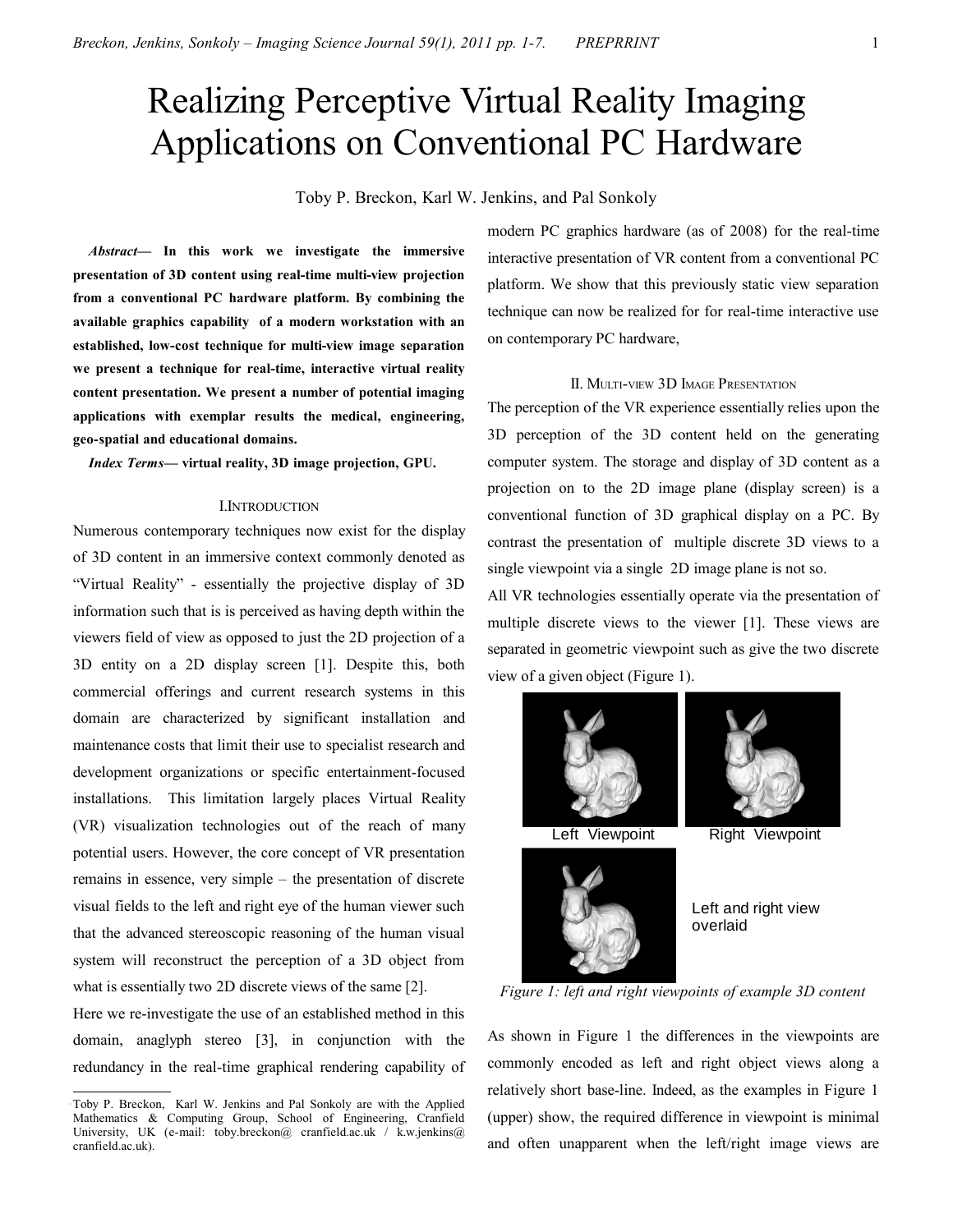# Realizing Perceptive Virtual Reality Imaging Applications on Conventional PC Hardware

Toby P. Breckon, Karl W. Jenkins, and Pal Sonkoly

*Abstract***— In this work we investigate the immersive presentation of 3D content using real-time multi-view projection from a conventional PC hardware platform. By combining the available graphics capability of a modern workstation with an established, low-cost technique for multi-view image separation we present a technique for real-time, interactive virtual reality content presentation. We present a number of potential imaging applications with exemplar results the medical, engineering, geo-spatial and educational domains.** 

*Index Terms***— virtual reality, 3D image projection, GPU.** 

#### I.INTRODUCTION

Numerous contemporary techniques now exist for the display of 3D content in an immersive context commonly denoted as "Virtual Reality" - essentially the projective display of 3D information such that is is perceived as having depth within the viewers field of view as opposed to just the 2D projection of a 3D entity on a 2D display screen [1]. Despite this, both commercial offerings and current research systems in this domain are characterized by significant installation and maintenance costs that limit their use to specialist research and development organizations or specific entertainment-focused installations. This limitation largely places Virtual Reality (VR) visualization technologies out of the reach of many potential users. However, the core concept of VR presentation remains in essence, very simple – the presentation of discrete visual fields to the left and right eye of the human viewer such that the advanced stereoscopic reasoning of the human visual system will reconstruct the perception of a 3D object from what is essentially two 2D discrete views of the same [2].

Here we re-investigate the use of an established method in this domain, anaglyph stereo [3], in conjunction with the redundancy in the real-time graphical rendering capability of modern PC graphics hardware (as of 2008) for the real-time interactive presentation of VR content from a conventional PC platform. We show that this previously static view separation technique can now be realized for for real-time interactive use on contemporary PC hardware,

# II. MULTI-VIEW 3D IMAGE PRESENTATION

The perception of the VR experience essentially relies upon the 3D perception of the 3D content held on the generating computer system. The storage and display of 3D content as a projection on to the 2D image plane (display screen) is a conventional function of 3D graphical display on a PC. By contrast the presentation of multiple discrete 3D views to a single viewpoint via a single 2D image plane is not so.

All VR technologies essentially operate via the presentation of multiple discrete views to the viewer [1]. These views are separated in geometric viewpoint such as give the two discrete view of a given object (Figure 1).







Left and right view overlaid

*Figure 1: left and right viewpoints of example 3D content*

As shown in Figure 1 the differences in the viewpoints are commonly encoded as left and right object views along a relatively short base-line. Indeed, as the examples in Figure 1 (upper) show, the required difference in viewpoint is minimal and often unapparent when the left/right image views are

Toby P. Breckon, Karl W. Jenkins and Pal Sonkoly are with the Applied Mathematics & Computing Group, School of Engineering, Cranfield University, UK (e-mail: toby.breckon@ cranfield.ac.uk / k.w.jenkins@ cranfield.ac.uk).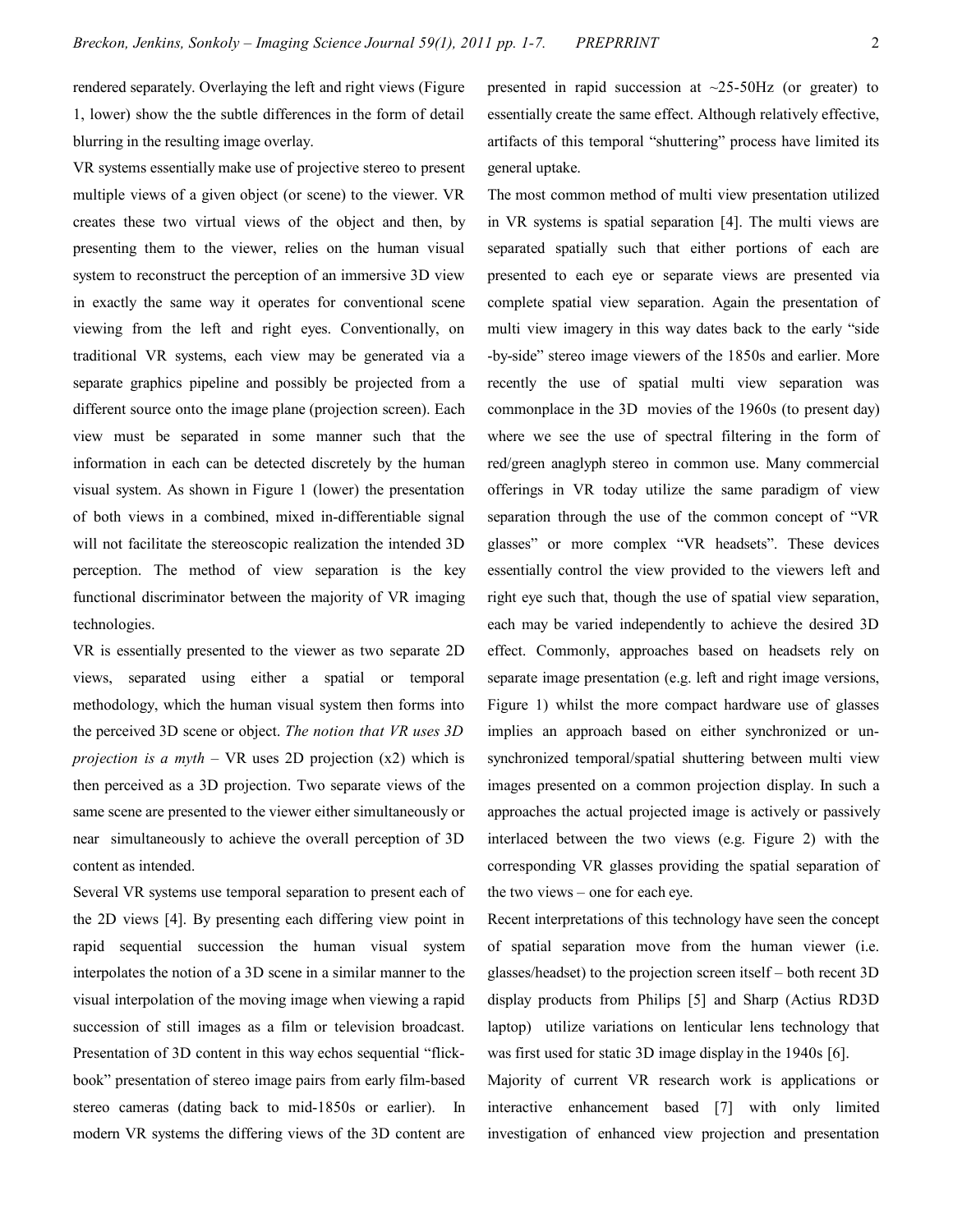rendered separately. Overlaying the left and right views (Figure 1, lower) show the the subtle differences in the form of detail blurring in the resulting image overlay.

VR systems essentially make use of projective stereo to present multiple views of a given object (or scene) to the viewer. VR creates these two virtual views of the object and then, by presenting them to the viewer, relies on the human visual system to reconstruct the perception of an immersive 3D view in exactly the same way it operates for conventional scene viewing from the left and right eyes. Conventionally, on traditional VR systems, each view may be generated via a separate graphics pipeline and possibly be projected from a different source onto the image plane (projection screen). Each view must be separated in some manner such that the information in each can be detected discretely by the human visual system. As shown in Figure 1 (lower) the presentation of both views in a combined, mixed in-differentiable signal will not facilitate the stereoscopic realization the intended 3D perception. The method of view separation is the key functional discriminator between the majority of VR imaging technologies.

VR is essentially presented to the viewer as two separate 2D views, separated using either a spatial or temporal methodology, which the human visual system then forms into the perceived 3D scene or object. *The notion that VR uses 3D projection is a myth* – VR uses 2D projection (x2) which is then perceived as a 3D projection. Two separate views of the same scene are presented to the viewer either simultaneously or near simultaneously to achieve the overall perception of 3D content as intended.

Several VR systems use temporal separation to present each of the 2D views [4]. By presenting each differing view point in rapid sequential succession the human visual system interpolates the notion of a 3D scene in a similar manner to the visual interpolation of the moving image when viewing a rapid succession of still images as a film or television broadcast. Presentation of 3D content in this way echos sequential "flickbook" presentation of stereo image pairs from early film-based stereo cameras (dating back to mid-1850s or earlier). In modern VR systems the differing views of the 3D content are

presented in rapid succession at  $\sim$ 25-50Hz (or greater) to essentially create the same effect. Although relatively effective, artifacts of this temporal "shuttering" process have limited its general uptake.

The most common method of multi view presentation utilized in VR systems is spatial separation [4]. The multi views are separated spatially such that either portions of each are presented to each eye or separate views are presented via complete spatial view separation. Again the presentation of multi view imagery in this way dates back to the early "side -by-side" stereo image viewers of the 1850s and earlier. More recently the use of spatial multi view separation was commonplace in the 3D movies of the 1960s (to present day) where we see the use of spectral filtering in the form of red/green anaglyph stereo in common use. Many commercial offerings in VR today utilize the same paradigm of view separation through the use of the common concept of "VR glasses" or more complex "VR headsets". These devices essentially control the view provided to the viewers left and right eye such that, though the use of spatial view separation, each may be varied independently to achieve the desired 3D effect. Commonly, approaches based on headsets rely on separate image presentation (e.g. left and right image versions, Figure 1) whilst the more compact hardware use of glasses implies an approach based on either synchronized or unsynchronized temporal/spatial shuttering between multi view images presented on a common projection display. In such a approaches the actual projected image is actively or passively interlaced between the two views (e.g. Figure 2) with the corresponding VR glasses providing the spatial separation of the two views – one for each eye.

Recent interpretations of this technology have seen the concept of spatial separation move from the human viewer (i.e. glasses/headset) to the projection screen itself – both recent 3D display products from Philips [5] and Sharp (Actius RD3D laptop) utilize variations on lenticular lens technology that was first used for static 3D image display in the 1940s [6].

Majority of current VR research work is applications or interactive enhancement based [7] with only limited investigation of enhanced view projection and presentation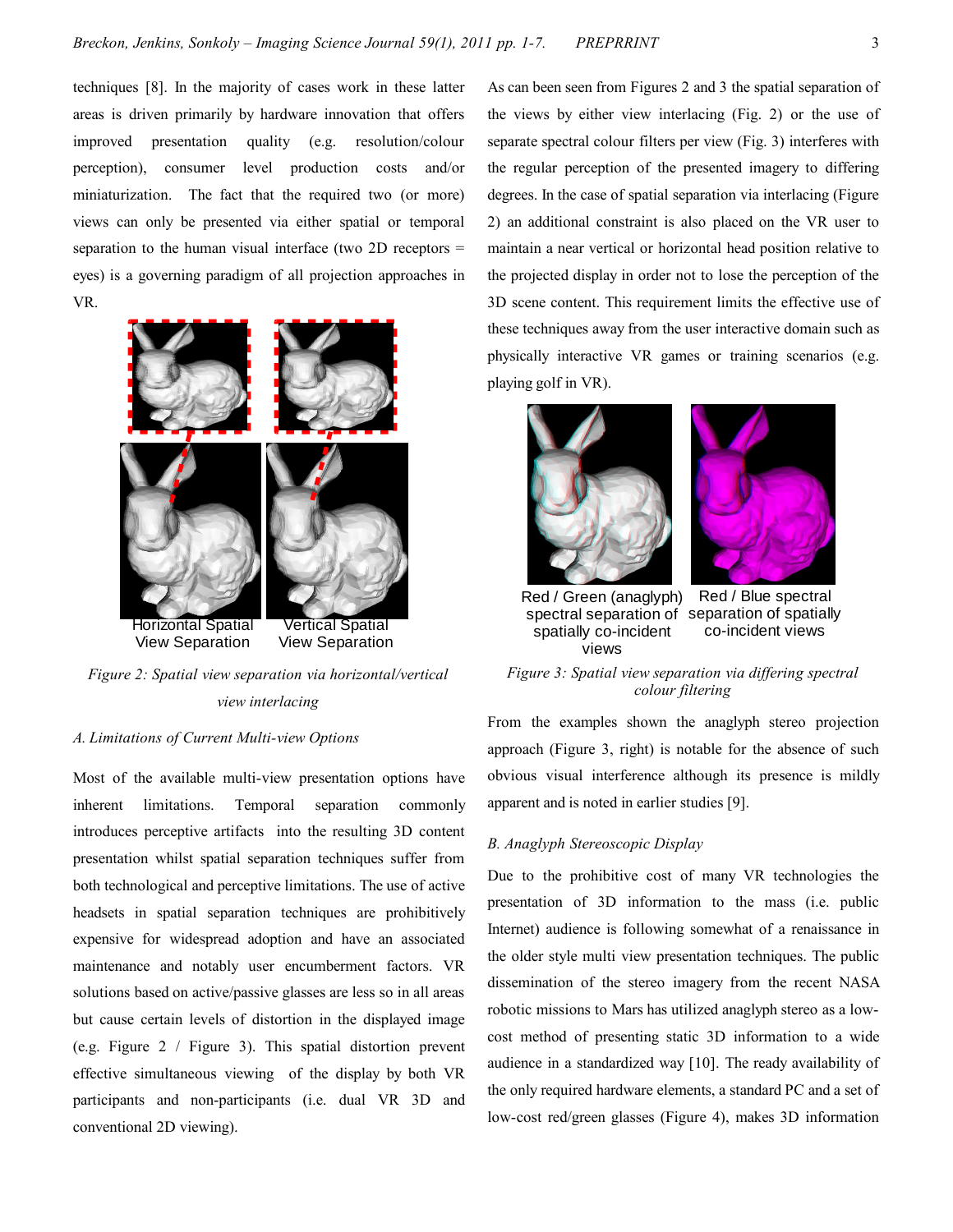techniques [8]. In the majority of cases work in these latter areas is driven primarily by hardware innovation that offers improved presentation quality (e.g. resolution/colour perception), consumer level production costs and/or miniaturization. The fact that the required two (or more) views can only be presented via either spatial or temporal separation to the human visual interface (two 2D receptors = eyes) is a governing paradigm of all projection approaches in VR.



*Figure 2: Spatial view separation via horizontal/vertical view interlacing*

# *A. Limitations of Current Multi-view Options*

Most of the available multi-view presentation options have inherent limitations. Temporal separation commonly introduces perceptive artifacts into the resulting 3D content presentation whilst spatial separation techniques suffer from both technological and perceptive limitations. The use of active headsets in spatial separation techniques are prohibitively expensive for widespread adoption and have an associated maintenance and notably user encumberment factors. VR solutions based on active/passive glasses are less so in all areas but cause certain levels of distortion in the displayed image (e.g. Figure 2 / Figure 3). This spatial distortion prevent effective simultaneous viewing of the display by both VR participants and non-participants (i.e. dual VR 3D and conventional 2D viewing).

As can been seen from Figures 2 and 3 the spatial separation of the views by either view interlacing (Fig. 2) or the use of separate spectral colour filters per view (Fig. 3) interferes with the regular perception of the presented imagery to differing degrees. In the case of spatial separation via interlacing (Figure 2) an additional constraint is also placed on the VR user to maintain a near vertical or horizontal head position relative to the projected display in order not to lose the perception of the 3D scene content. This requirement limits the effective use of these techniques away from the user interactive domain such as physically interactive VR games or training scenarios (e.g. playing golf in VR).





Red / Green (anaglyph) Red / Blue spectral spectral separation of separation of spatially co-incident views spatially co-incident views

*Figure 3: Spatial view separation via differing spectral colour filtering*

From the examples shown the anaglyph stereo projection approach (Figure 3, right) is notable for the absence of such obvious visual interference although its presence is mildly apparent and is noted in earlier studies [9].

## *B. Anaglyph Stereoscopic Display*

Due to the prohibitive cost of many VR technologies the presentation of 3D information to the mass (i.e. public Internet) audience is following somewhat of a renaissance in the older style multi view presentation techniques. The public dissemination of the stereo imagery from the recent NASA robotic missions to Mars has utilized anaglyph stereo as a lowcost method of presenting static 3D information to a wide audience in a standardized way [10]. The ready availability of the only required hardware elements, a standard PC and a set of low-cost red/green glasses (Figure 4), makes 3D information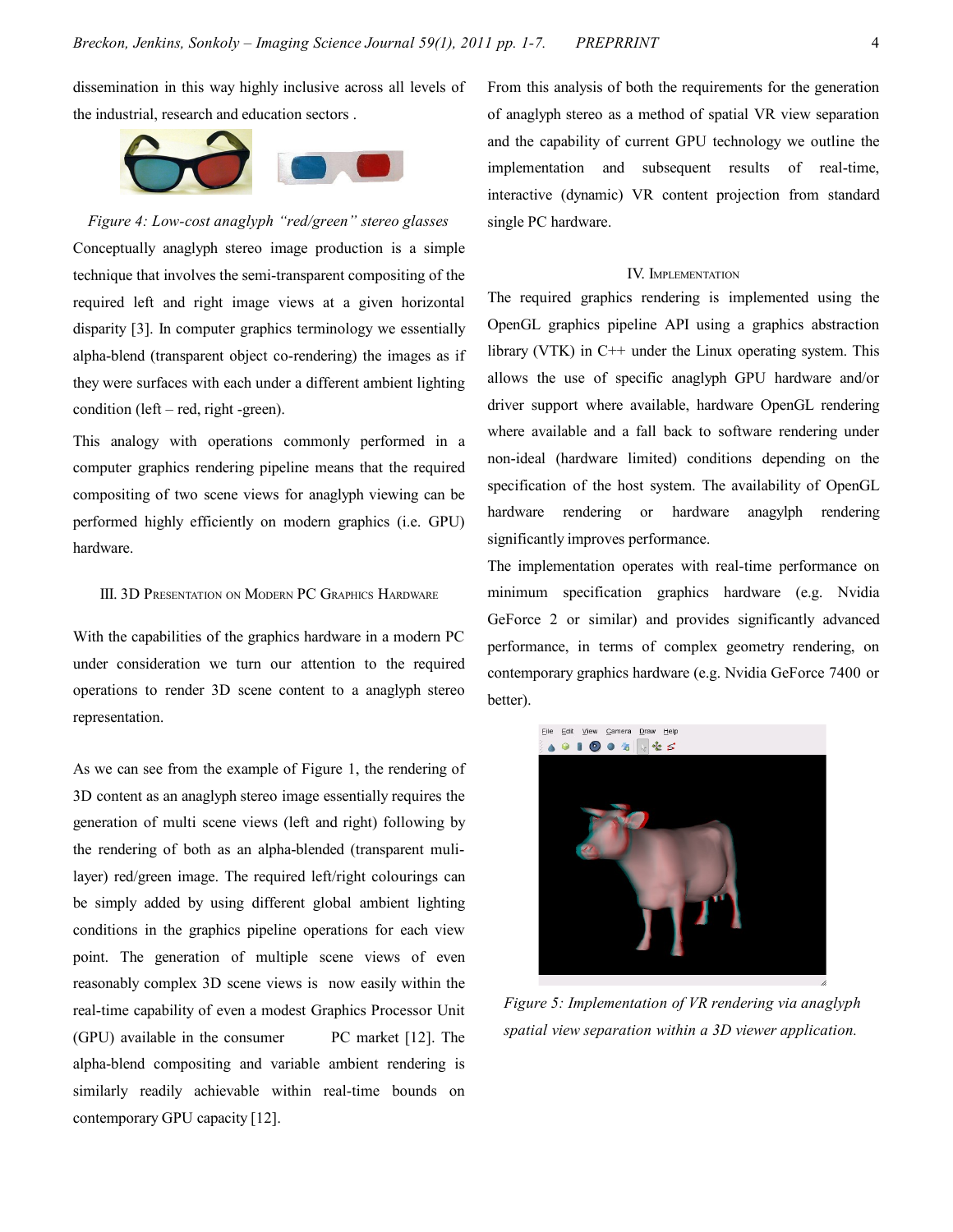dissemination in this way highly inclusive across all levels of the industrial, research and education sectors .



*Figure 4: Low-cost anaglyph "red/green" stereo glasses* Conceptually anaglyph stereo image production is a simple technique that involves the semi-transparent compositing of the required left and right image views at a given horizontal disparity [3]. In computer graphics terminology we essentially alpha-blend (transparent object co-rendering) the images as if they were surfaces with each under a different ambient lighting condition (left – red, right -green).

This analogy with operations commonly performed in a computer graphics rendering pipeline means that the required compositing of two scene views for anaglyph viewing can be performed highly efficiently on modern graphics (i.e. GPU) hardware.

# III. 3D PRESENTATION ON MODERN PC GRAPHICS HARDWARE

With the capabilities of the graphics hardware in a modern PC under consideration we turn our attention to the required operations to render 3D scene content to a anaglyph stereo representation.

As we can see from the example of Figure 1, the rendering of 3D content as an anaglyph stereo image essentially requires the generation of multi scene views (left and right) following by the rendering of both as an alpha-blended (transparent mulilayer) red/green image. The required left/right colourings can be simply added by using different global ambient lighting conditions in the graphics pipeline operations for each view point. The generation of multiple scene views of even reasonably complex 3D scene views is now easily within the real-time capability of even a modest Graphics Processor Unit (GPU) available in the consumer PC market [12]. The alpha-blend compositing and variable ambient rendering is similarly readily achievable within real-time bounds on contemporary GPU capacity [12].

From this analysis of both the requirements for the generation of anaglyph stereo as a method of spatial VR view separation and the capability of current GPU technology we outline the implementation and subsequent results of real-time, interactive (dynamic) VR content projection from standard single PC hardware.

## IV. IMPLEMENTATION

The required graphics rendering is implemented using the OpenGL graphics pipeline API using a graphics abstraction library (VTK) in C++ under the Linux operating system. This allows the use of specific anaglyph GPU hardware and/or driver support where available, hardware OpenGL rendering where available and a fall back to software rendering under non-ideal (hardware limited) conditions depending on the specification of the host system. The availability of OpenGL hardware rendering or hardware anagylph rendering significantly improves performance.

The implementation operates with real-time performance on minimum specification graphics hardware (e.g. Nvidia GeForce 2 or similar) and provides significantly advanced performance, in terms of complex geometry rendering, on contemporary graphics hardware (e.g. Nvidia GeForce 7400 or better).



*Figure 5: Implementation of VR rendering via anaglyph spatial view separation within a 3D viewer application.*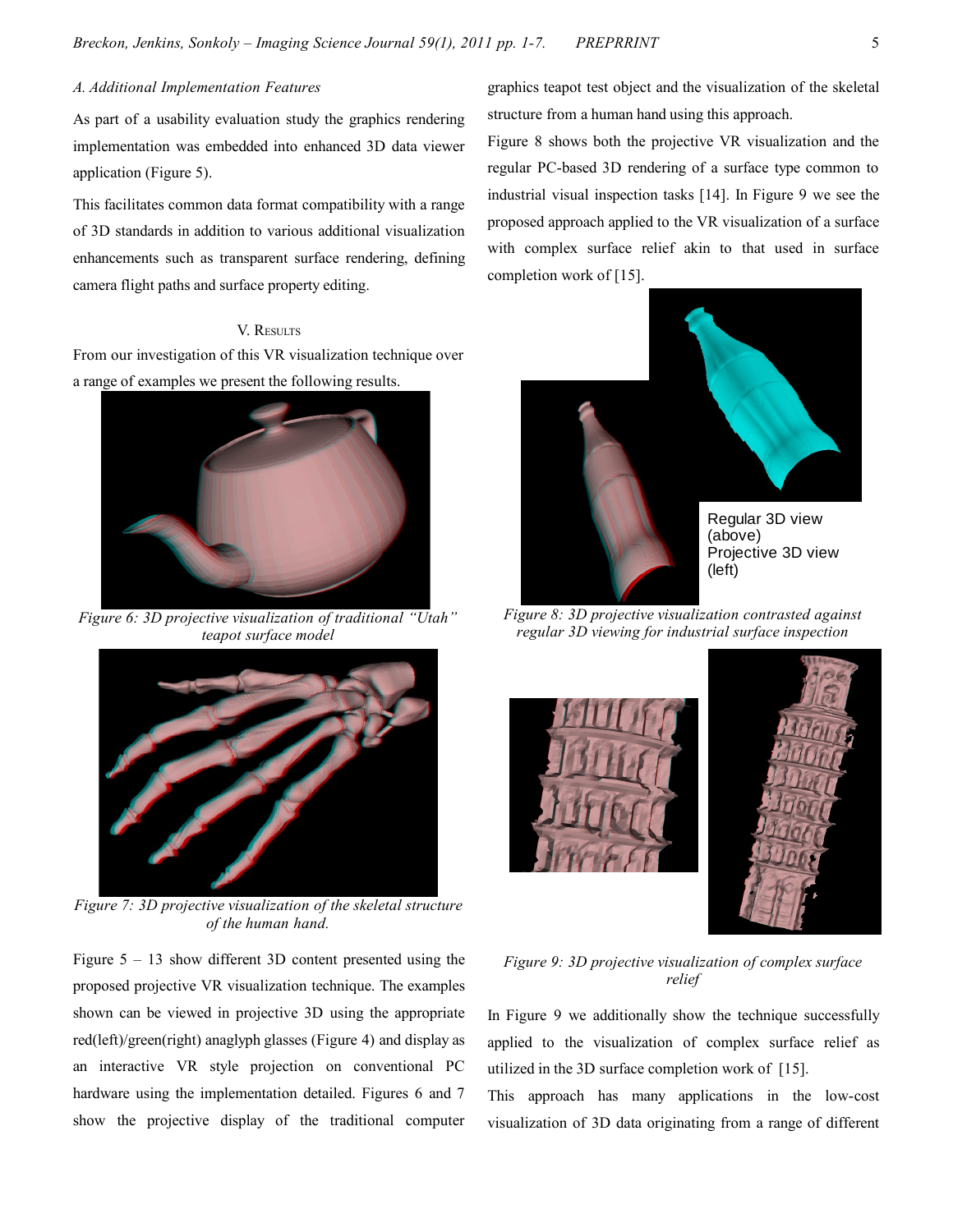# *A. Additional Implementation Features*

As part of a usability evaluation study the graphics rendering implementation was embedded into enhanced 3D data viewer application (Figure 5).

This facilitates common data format compatibility with a range of 3D standards in addition to various additional visualization enhancements such as transparent surface rendering, defining camera flight paths and surface property editing.

## V. RESULTS

From our investigation of this VR visualization technique over a range of examples we present the following results.



*Figure 6: 3D projective visualization of traditional "Utah" teapot surface model*



*Figure 7: 3D projective visualization of the skeletal structure of the human hand.*

Figure  $5 - 13$  show different 3D content presented using the proposed projective VR visualization technique. The examples shown can be viewed in projective 3D using the appropriate red(left)/green(right) anaglyph glasses (Figure 4) and display as an interactive VR style projection on conventional PC hardware using the implementation detailed. Figures 6 and 7 show the projective display of the traditional computer graphics teapot test object and the visualization of the skeletal structure from a human hand using this approach.

Figure 8 shows both the projective VR visualization and the regular PC-based 3D rendering of a surface type common to industrial visual inspection tasks [14]. In Figure 9 we see the proposed approach applied to the VR visualization of a surface with complex surface relief akin to that used in surface completion work of [15].



*Figure 8: 3D projective visualization contrasted against regular 3D viewing for industrial surface inspection*





*Figure 9: 3D projective visualization of complex surface relief*

In Figure 9 we additionally show the technique successfully applied to the visualization of complex surface relief as utilized in the 3D surface completion work of [15].

This approach has many applications in the low-cost visualization of 3D data originating from a range of different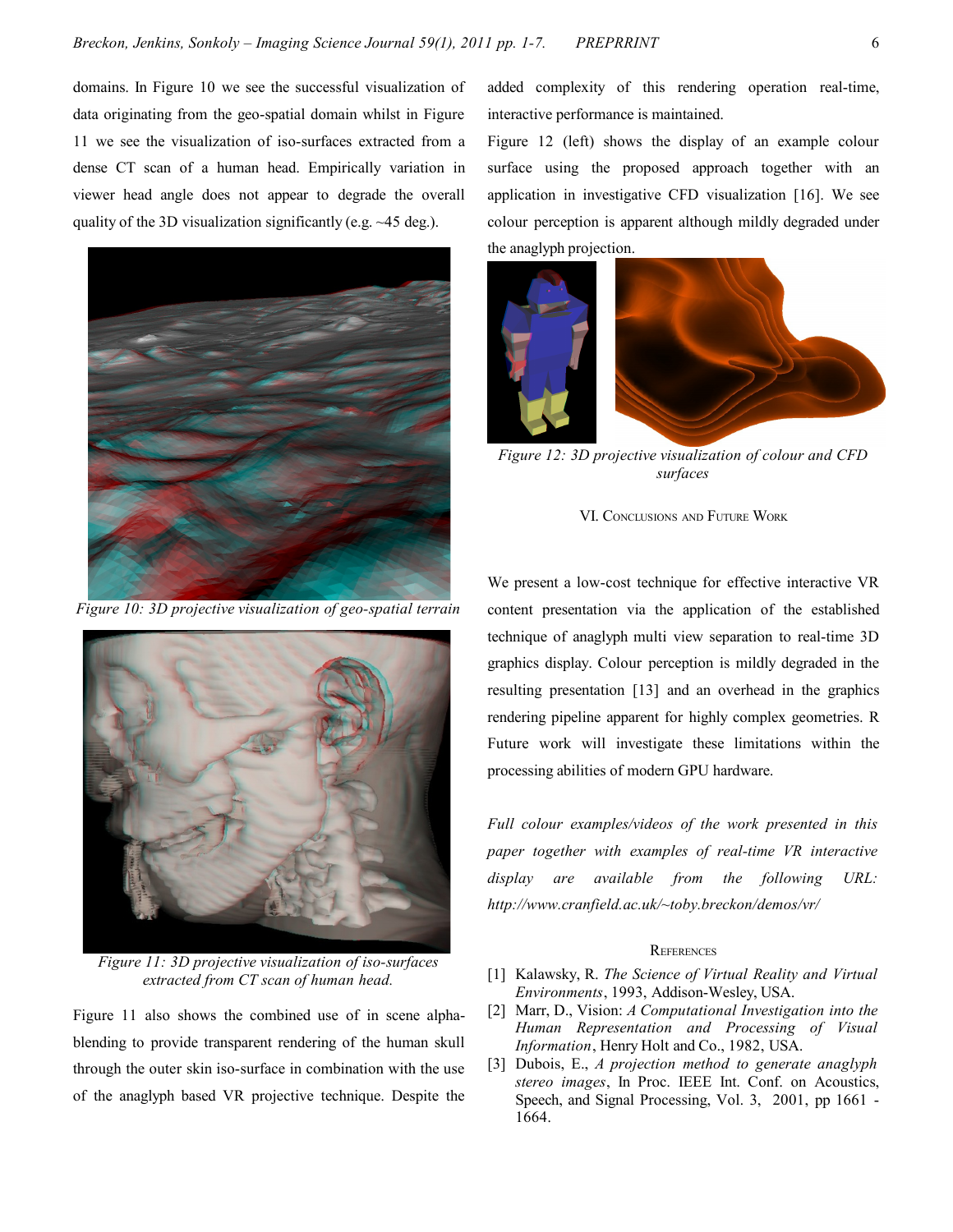domains. In Figure 10 we see the successful visualization of data originating from the geo-spatial domain whilst in Figure 11 we see the visualization of iso-surfaces extracted from a dense CT scan of a human head. Empirically variation in viewer head angle does not appear to degrade the overall quality of the 3D visualization significantly (e.g. ~45 deg.).



*Figure 10: 3D projective visualization of geo-spatial terrain*



*Figure 11: 3D projective visualization of iso-surfaces extracted from CT scan of human head.*

Figure 11 also shows the combined use of in scene alphablending to provide transparent rendering of the human skull through the outer skin iso-surface in combination with the use of the anaglyph based VR projective technique. Despite the added complexity of this rendering operation real-time, interactive performance is maintained.

Figure 12 (left) shows the display of an example colour surface using the proposed approach together with an application in investigative CFD visualization [16]. We see colour perception is apparent although mildly degraded under the anaglyph projection.



*Figure 12: 3D projective visualization of colour and CFD surfaces*

VI. CONCLUSIONS AND FUTURE WORK

We present a low-cost technique for effective interactive VR content presentation via the application of the established technique of anaglyph multi view separation to real-time 3D graphics display. Colour perception is mildly degraded in the resulting presentation [13] and an overhead in the graphics rendering pipeline apparent for highly complex geometries. R Future work will investigate these limitations within the processing abilities of modern GPU hardware.

*Full colour examples/videos of the work presented in this paper together with examples of real-time VR interactive display are available from the following URL: http://www.cranfield.ac.uk/~toby.breckon/demos/vr/*

## **REFERENCES**

- [1] Kalawsky, R. *The Science of Virtual Reality and Virtual Environments*, 1993, Addison-Wesley, USA.
- [2] Marr, D., Vision: *A Computational Investigation into the Human Representation and Processing of Visual Information*, Henry Holt and Co., 1982, USA.
- [3] Dubois, E., *A projection method to generate anaglyph stereo images*, In Proc. IEEE Int. Conf. on Acoustics, Speech, and Signal Processing, Vol. 3, 2001, pp 1661 - 1664.